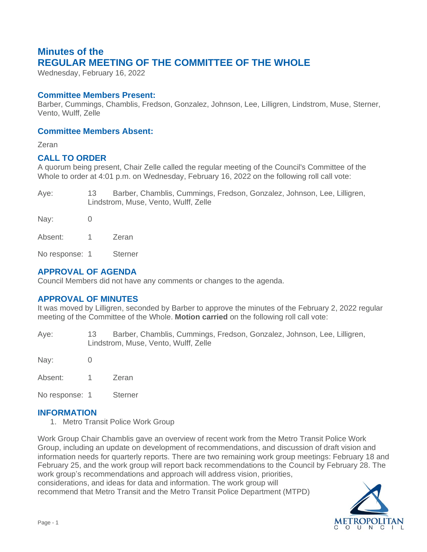# **Minutes of the REGULAR MEETING OF THE COMMITTEE OF THE WHOLE**

Wednesday, February 16, 2022

### **Committee Members Present:**

Barber, Cummings, Chamblis, Fredson, Gonzalez, Johnson, Lee, Lilligren, Lindstrom, Muse, Sterner, Vento, Wulff, Zelle

### **Committee Members Absent:**

Zeran

# **CALL TO ORDER**

A quorum being present, Chair Zelle called the regular meeting of the Council's Committee of the Whole to order at 4:01 p.m. on Wednesday, February 16, 2022 on the following roll call vote:

Aye: 13 Barber, Chamblis, Cummings, Fredson, Gonzalez, Johnson, Lee, Lilligren, Lindstrom, Muse, Vento, Wulff, Zelle

Nay: 0 Absent: 1 Zeran

No response: 1 Sterner

# **APPROVAL OF AGENDA**

Council Members did not have any comments or changes to the agenda.

# **APPROVAL OF MINUTES**

It was moved by Lilligren, seconded by Barber to approve the minutes of the February 2, 2022 regular meeting of the Committee of the Whole. **Motion carried** on the following roll call vote:

Aye: 13 Barber, Chamblis, Cummings, Fredson, Gonzalez, Johnson, Lee, Lilligren, Lindstrom, Muse, Vento, Wulff, Zelle

Nay: 0

Absent: 1 Zeran

No response: 1 Sterner

#### **INFORMATION**

1. Metro Transit Police Work Group

Work Group Chair Chamblis gave an overview of recent work from the Metro Transit Police Work Group, including an update on development of recommendations, and discussion of draft vision and information needs for quarterly reports. There are two remaining work group meetings: February 18 and February 25, and the work group will report back recommendations to the Council by February 28. The work group's recommendations and approach will address vision, priorities,

considerations, and ideas for data and information. The work group will recommend that Metro Transit and the Metro Transit Police Department (MTPD)